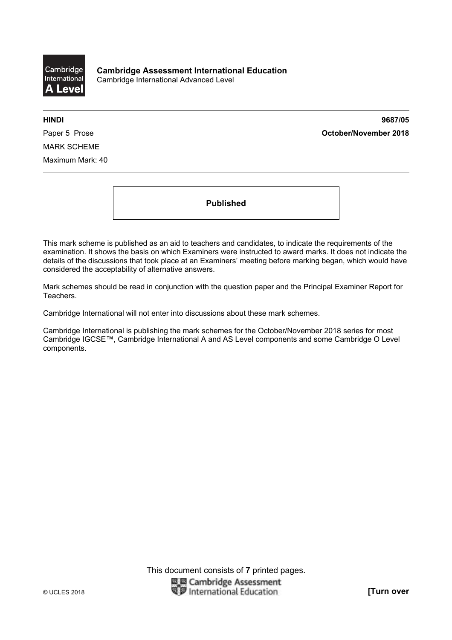

**HINDI 9687/05**  Paper 5 Prose **October/November 2018**

MARK SCHEME Maximum Mark: 40

**Published** 

This mark scheme is published as an aid to teachers and candidates, to indicate the requirements of the examination. It shows the basis on which Examiners were instructed to award marks. It does not indicate the details of the discussions that took place at an Examiners' meeting before marking began, which would have considered the acceptability of alternative answers.

Mark schemes should be read in conjunction with the question paper and the Principal Examiner Report for Teachers.

Cambridge International will not enter into discussions about these mark schemes.

Cambridge International is publishing the mark schemes for the October/November 2018 series for most Cambridge IGCSE™, Cambridge International A and AS Level components and some Cambridge O Level components.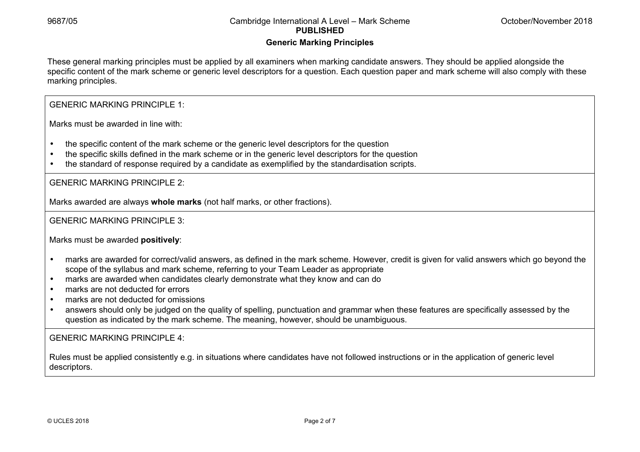#### **Generic Marking Principles**

These general marking principles must be applied by all examiners when marking candidate answers. They should be applied alongside the specific content of the mark scheme or generic level descriptors for a question. Each question paper and mark scheme will also comply with these marking principles.

GENERIC MARKING PRINCIPLE 1:

Marks must be awarded in line with:

- the specific content of the mark scheme or the generic level descriptors for the question
- the specific skills defined in the mark scheme or in the generic level descriptors for the question
- the standard of response required by a candidate as exemplified by the standardisation scripts.

GENERIC MARKING PRINCIPLE 2:

Marks awarded are always **whole marks** (not half marks, or other fractions).

GENERIC MARKING PRINCIPLE 3:

Marks must be awarded **positively**:

- marks are awarded for correct/valid answers, as defined in the mark scheme. However, credit is given for valid answers which go beyond the scope of the syllabus and mark scheme, referring to your Team Leader as appropriate
- marks are awarded when candidates clearly demonstrate what they know and can do
- marks are not deducted for errors
- marks are not deducted for omissions
- answers should only be judged on the quality of spelling, punctuation and grammar when these features are specifically assessed by the question as indicated by the mark scheme. The meaning, however, should be unambiguous.

GENERIC MARKING PRINCIPLE 4:

Rules must be applied consistently e.g. in situations where candidates have not followed instructions or in the application of generic level descriptors.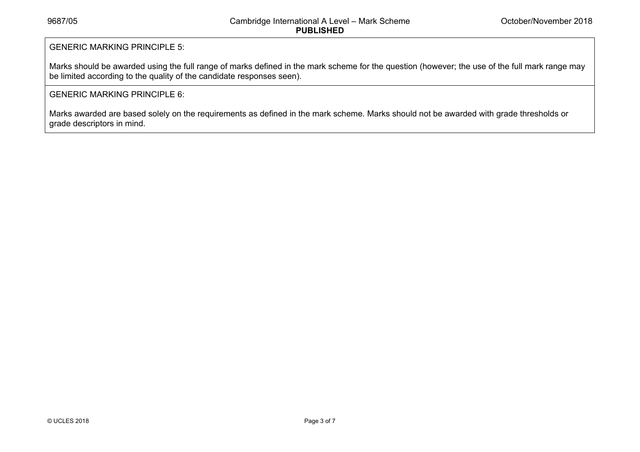# GENERIC MARKING PRINCIPLE 5:

Marks should be awarded using the full range of marks defined in the mark scheme for the question (however; the use of the full mark range may be limited according to the quality of the candidate responses seen).

## GENERIC MARKING PRINCIPLE 6:

Marks awarded are based solely on the requirements as defined in the mark scheme. Marks should not be awarded with grade thresholds or grade descriptors in mind.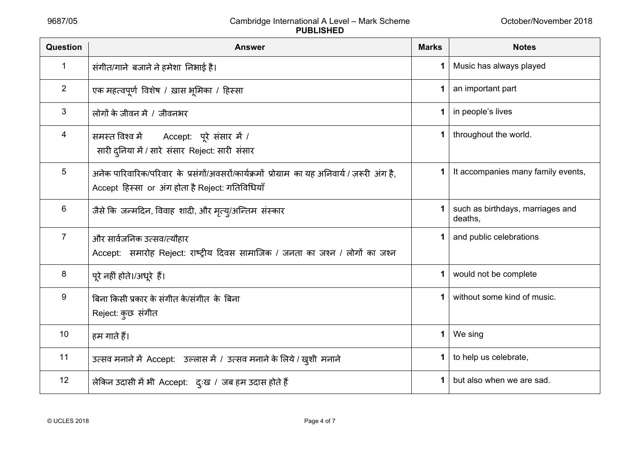| Question       | <b>Answer</b>                                                                                                                                     | <b>Marks</b> | <b>Notes</b>                                |
|----------------|---------------------------------------------------------------------------------------------------------------------------------------------------|--------------|---------------------------------------------|
| 1              | संगीत/गाने बजाने ने हमेशा निभाई है।                                                                                                               |              | Music has always played                     |
| 2              | एक महत्वपूर्ण विशेष / ख़ास भूमिका / हिस्सा                                                                                                        | 1            | an important part                           |
| 3              | लोगों के जीवन में / जीवनभर                                                                                                                        | 1            | in people's lives                           |
| 4              | समस्त विश्व में Accept: पूरे संसार में /<br>सारी दुनिया में / सारे संसार Reject: सारी संसार                                                       | 1            | throughout the world.                       |
| 5              | अनेक पारिवारिक/परिवार के प्रसंगों/अवसरों/कार्यक्रमों प्रोग्राम का यह अनिवार्य / ज़रूरी अंग है,<br>Accept हिस्सा or अंग होता है Reject: गतिविधियाँ | 1            | It accompanies many family events,          |
| 6              | जैसे कि जन्मदिन, विवाह शादी, और मृत्य्/अन्तिम संस्कार                                                                                             |              | such as birthdays, marriages and<br>deaths, |
| $\overline{7}$ | और सार्वजनिक उत्सव/त्यौहार<br>Accept: समारोह Reject: राष्ट्रीय दिवस सामाजिक / जनता का जश्न / लोगों का जश्न                                        |              | and public celebrations                     |
| 8              | पूरे नहीं होते।/अधूरे हैं।                                                                                                                        |              | would not be complete                       |
| 9              | बिना किसी प्रकार के संगीत के/संगीत के बिना<br>Reject: कुछ संगीत                                                                                   |              | without some kind of music.                 |
| 10             | हम गाते हैं।                                                                                                                                      | 1            | We sing                                     |
| 11             | उत्सव मनाने में Accept: उल्लास में / उत्सव मनाने के लिये / खुशी मनाने                                                                             |              | to help us celebrate,                       |
| 12             | लेकिन उदासी में भी Accept: दुःख / जब हम उदास होते हैं                                                                                             | 1            | but also when we are sad.                   |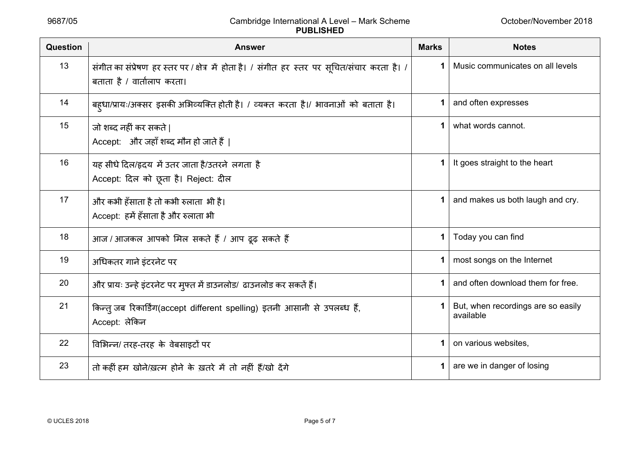| <b>Question</b> | <b>Answer</b>                                                                                                               | <b>Marks</b> | <b>Notes</b>                                    |
|-----------------|-----------------------------------------------------------------------------------------------------------------------------|--------------|-------------------------------------------------|
| 13              | संगीत का संप्रेषण हर स्तर पर / क्षेत्र में होता है। / संगीत हर स्तर पर सूचित/संचार करता है। /<br>बताता है / वार्तालाप करता। |              | Music communicates on all levels                |
| 14              | बह़धा/प्रायः/अक्सर इसकी अभिव्यक्ति होती है। / व्यक्त करता है।/ भावनाओं को बताता है।                                         |              | and often expresses                             |
| 15              | जो शब्द नहीं कर सकते  <br>Accept: और जहाँ शब्द मौन हो जाते हैं                                                              |              | what words cannot.                              |
| 16              | यह सीधे दिल/हृदय में उतर जाता है/उतरने लगता है<br>Accept: दिल को छूता है। Reject: दील                                       |              | It goes straight to the heart                   |
| 17              | और कभी हँसाता है तो कभी रुलाता  भी है।<br>Accept: हमें हँसाता है और रुलाता भी                                               |              | and makes us both laugh and cry.                |
| 18              | आज / आजकल आपको मिल सकते हैं / आप ढूढ़ सकते हैं                                                                              |              | Today you can find                              |
| 19              | अधिकतर गाने इंटरनेट पर                                                                                                      |              | most songs on the Internet                      |
| 20              | और प्रायः उन्हे इंटरनेट पर मुफ्त में डाउनलोड/ ढाउनलोड कर सकतें हैं।                                                         |              | and often download them for free.               |
| 21              | किन्त् जब रिकार्डिंग(accept different spelling) इतनी आसानी से उपलब्ध हैं,<br>Accept: लेकिन                                  |              | But, when recordings are so easily<br>available |
| 22              | विभिन्न/ तरह-तरह के वेबसाइटों पर                                                                                            |              | on various websites,                            |
| 23              | तो कहीं हम खोने/ख़त्म होने के ख़तरे में तो नहीं हैं/खो देंगे                                                                |              | are we in danger of losing                      |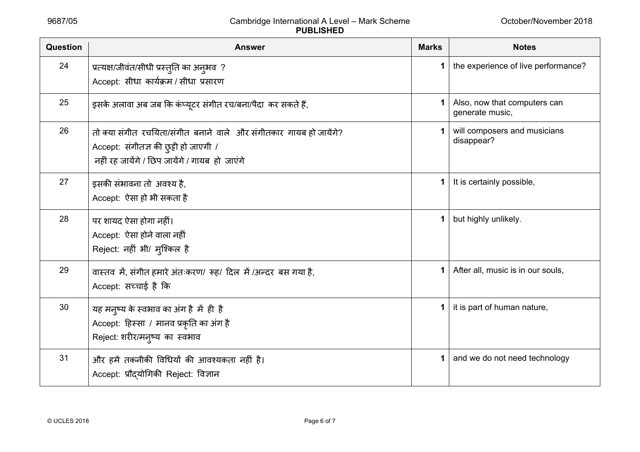| Question | <b>Answer</b>                                                                                                                                                 | <b>Marks</b> | <b>Notes</b>                                    |
|----------|---------------------------------------------------------------------------------------------------------------------------------------------------------------|--------------|-------------------------------------------------|
| 24       | प्रत्यक्ष/जीवंत/सीधी प्रस्तुति का अनुभव ?<br>Accept: सीधा कार्यक्रम / सीधा प्रसारण                                                                            | 1            | the experience of live performance?             |
| 25       | इसके अलावा अब जब कि कंप्यूटर संगीत रच/बना/पैदा कर सकते हैं,                                                                                                   |              | Also, now that computers can<br>generate music, |
| 26       | तो क्या संगीत रचयिता/संगीत बनाने वाले और संगीतकार गायब हो जायेंगे?<br>Accept: संगीतज्ञ की छुट्टी हो जाएगी /<br>नहीं रह जायेंगे / छिप जायेंगे / गायब हो जाएंगे |              | will composers and musicians<br>disappear?      |
| 27       | इसकी संभावना तो अवश्य है,<br>Accept: ऐसा हो भी सकता है                                                                                                        | 1            | It is certainly possible,                       |
| 28       | पर शायद ऐसा होगा नहीं।<br>Accept: ऐसा होने वाला नहीं<br>Reject: नहीं भी/ मुश्किल है                                                                           | 1            | but highly unlikely.                            |
| 29       | वास्तव में, संगीत हमारे अंतःकरण/ रूह/ दिल में /अन्दर बस गया है,<br>Accept: सच्चाई है कि                                                                       | 1.           | After all, music is in our souls,               |
| 30       | यह मनुष्य के स्वभाव का अंग है में ही है<br>Accept: हिस्सा / मानव प्रकृति का अंग है<br>Reject: शरीर/मन्ष्य का स्वभाव                                           | 1            | it is part of human nature,                     |
| 31       | और हमें तकनीकी विधियों की आवश्यकता नहीं है।<br>Accept: प्रौद्योगिकी Reject: विज्ञान                                                                           | 1            | and we do not need technology                   |